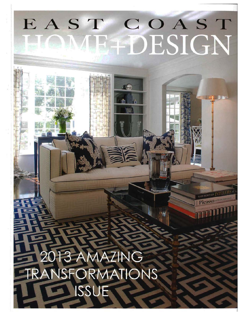### COAST EAST DESIGN

ترجلهم

**ATRI ACBOZTED** 

# 3 AMAZING<br>SFORMATIONS ISSUE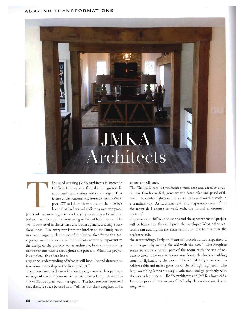#### **AMAZING TRANSFOR MATION S**

## MKA Architects

he award winning JMKA Architects is known in Fairfield Counry as a firm chat integrates client's needs and visions within a budget. That is one of the reasons why homeowners in Westport, CT called on chem co re-do cheir 195o's home that had several additions over the years.

Jeff Kaufman went right to work trying to convey a Farmhouse feel with an attention co derail using reclaimed barn beams. The beams were used in the kitchen and butlers pantry, creating a continual flow. The entry way from the kitchen to the family room was made larger with the use of the beams that frame the passageway. As Kaufman stated "The clients were very important to the design of the project- we, as architects, have a responsibility to educate our clients throughout che process. When the project is complete- the client has a

very good understanding of what it will look like and deserves to take some ownership to the final product."

The project included a new kitchen layout, a new butlers pantry, a redesign of the family room wich a new screened in porch with includes 12-foot glass wall that opens. The homeowners requested chat che loft space be used as an "office" for their daughter and a separate media area.

The Kitchen is totally transformed from dark and dated to a rusric chic farmhouse feel, gone are the dated tiles and passe cabinets. Ir exudes lightness and subtle riles and marble work in a seamless way. As Kaufman said "My inspiration comes from the materials I choose to work with, che natural environment, my travel

Experiences in different countries and the space where the project will be built- how far can I push the envelope? What other materials can accomplish the same result and how to maximize the project within

che surroundings. I rely on historical precedent, not magazines- I am intrigued by mixing the old with the new." The Fireplace seems to act as a pivotal part of the room, with the use of robust stones. The new windows now frame the fireplace adding touch of lightness to the room. The beautiful light fixture also achieves chis and makes great use of the ceiling's high arch. The large matching lamps sic atop a sofa table and go perfecrly wich che rooms large scale. JMKA Architects and Jeff Kaufman did a fabulous job and now we can all tell why they are an award winning firm.